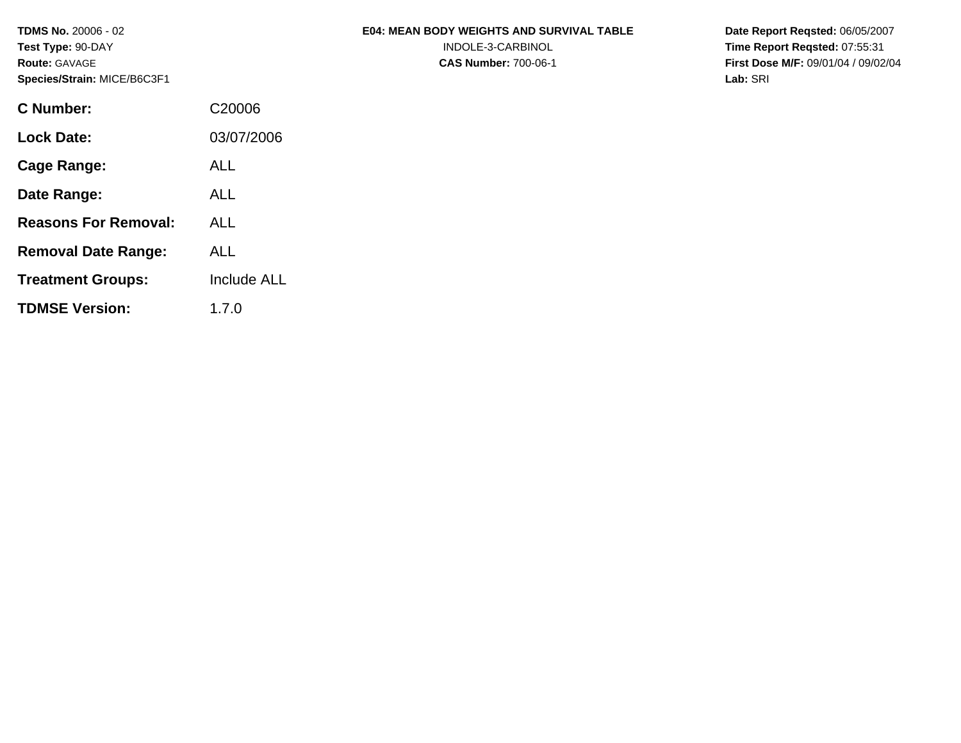**TDMS No.** 20006 - 02 **Test Type:** 90-DAY **Route:** GAVAGE **Species/Strain:** MICE/B6C3F1

| <b>E04: MEAN BODY WEIGHTS AND SURVIVAL TABLE</b> |
|--------------------------------------------------|
| INDOLE-3-CARBINOL                                |

**CAS Number:** 700-06-1

**Date Report Reqsted:** 06/05/2007 **Time Report Reqsted:** 07:55:31 **First Dose M/F:** 09/01/04 / 09/02/04 **Lab:** SRI

| <b>C</b> Number:            | C <sub>20006</sub> |
|-----------------------------|--------------------|
| <b>Lock Date:</b>           | 03/07/2006         |
| Cage Range:                 | AL L               |
| Date Range:                 | ALL                |
| <b>Reasons For Removal:</b> | ALL                |
| <b>Removal Date Range:</b>  | ALL                |
| <b>Treatment Groups:</b>    | <b>Include ALL</b> |
| <b>TDMSE Version:</b>       | 1.7.0              |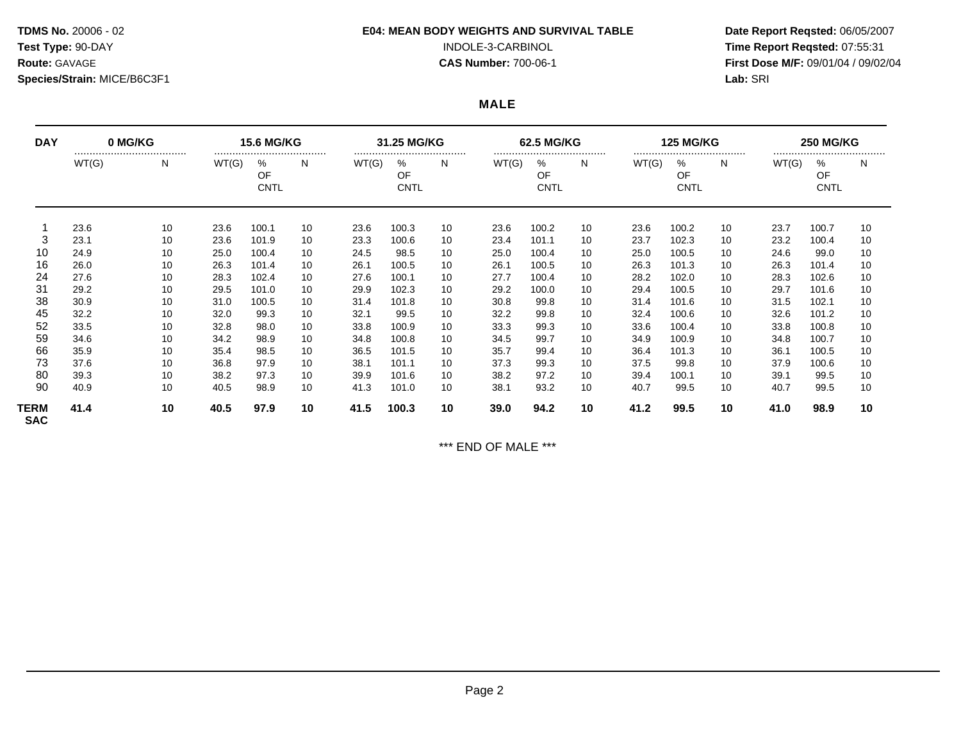# **Species/Strain:** MICE/B6C3F1 **Lab:** SRI

### **TDMS No.** 20006 - 02 **E04: MEAN BODY WEIGHTS AND SURVIVAL TABLE Date Report Reqsted:** 06/05/2007

**Test Type:** 90-DAY INDOLE-3-CARBINOL **Time Report Reqsted:** 07:55:31 **Route:** GAVAGE **CAS Number:** 700-06-1 **First Dose M/F:** 09/01/04 / 09/02/04

**MALE** 

| <b>DAY</b>         | 0 MG/KG   |    | <b>15.6 MG/KG</b> |                            |    | 31.25 MG/KG |                            |    | 62.5 MG/KG |                            |    | <b>125 MG/KG</b> |                            |    | <b>250 MG/KG</b> |                     |    |
|--------------------|-----------|----|-------------------|----------------------------|----|-------------|----------------------------|----|------------|----------------------------|----|------------------|----------------------------|----|------------------|---------------------|----|
|                    | <br>WT(G) | N  | WT(G)             | <br>%<br>OF<br><b>CNTL</b> | N. | WT(G)       | <br>%<br>OF<br><b>CNTL</b> | N. | WT(G)      | <br>%<br>OF<br><b>CNTL</b> | N  | WT(G)            | <br>%<br>OF<br><b>CNTL</b> | N  | WT(G)            | <br>℅<br>OF<br>CNTL | N  |
|                    | 23.6      | 10 | 23.6              | 100.1                      | 10 | 23.6        | 100.3                      | 10 | 23.6       | 100.2                      | 10 | 23.6             | 100.2                      | 10 | 23.7             | 100.7               | 10 |
| 3                  | 23.1      | 10 | 23.6              | 101.9                      | 10 | 23.3        | 100.6                      | 10 | 23.4       | 101.1                      | 10 | 23.7             | 102.3                      | 10 | 23.2             | 100.4               | 10 |
| 10                 | 24.9      | 10 | 25.0              | 100.4                      | 10 | 24.5        | 98.5                       | 10 | 25.0       | 100.4                      | 10 | 25.0             | 100.5                      | 10 | 24.6             | 99.0                | 10 |
| 16                 | 26.0      | 10 | 26.3              | 101.4                      | 10 | 26.1        | 100.5                      | 10 | 26.1       | 100.5                      | 10 | 26.3             | 101.3                      | 10 | 26.3             | 101.4               | 10 |
| 24                 | 27.6      | 10 | 28.3              | 102.4                      | 10 | 27.6        | 100.1                      | 10 | 27.7       | 100.4                      | 10 | 28.2             | 102.0                      | 10 | 28.3             | 102.6               | 10 |
| 31                 | 29.2      | 10 | 29.5              | 101.0                      | 10 | 29.9        | 102.3                      | 10 | 29.2       | 100.0                      | 10 | 29.4             | 100.5                      | 10 | 29.7             | 101.6               | 10 |
| 38                 | 30.9      | 10 | 31.0              | 100.5                      | 10 | 31.4        | 101.8                      | 10 | 30.8       | 99.8                       | 10 | 31.4             | 101.6                      | 10 | 31.5             | 102.1               | 10 |
| 45                 | 32.2      | 10 | 32.0              | 99.3                       | 10 | 32.1        | 99.5                       | 10 | 32.2       | 99.8                       | 10 | 32.4             | 100.6                      | 10 | 32.6             | 101.2               | 10 |
| 52                 | 33.5      | 10 | 32.8              | 98.0                       | 10 | 33.8        | 100.9                      | 10 | 33.3       | 99.3                       | 10 | 33.6             | 100.4                      | 10 | 33.8             | 100.8               | 10 |
| 59                 | 34.6      | 10 | 34.2              | 98.9                       | 10 | 34.8        | 100.8                      | 10 | 34.5       | 99.7                       | 10 | 34.9             | 100.9                      | 10 | 34.8             | 100.7               | 10 |
| 66                 | 35.9      | 10 | 35.4              | 98.5                       | 10 | 36.5        | 101.5                      | 10 | 35.7       | 99.4                       | 10 | 36.4             | 101.3                      | 10 | 36.1             | 100.5               | 10 |
| 73                 | 37.6      | 10 | 36.8              | 97.9                       | 10 | 38.1        | 101.1                      | 10 | 37.3       | 99.3                       | 10 | 37.5             | 99.8                       | 10 | 37.9             | 100.6               | 10 |
| 80                 | 39.3      | 10 | 38.2              | 97.3                       | 10 | 39.9        | 101.6                      | 10 | 38.2       | 97.2                       | 10 | 39.4             | 100.1                      | 10 | 39.1             | 99.5                | 10 |
| 90                 | 40.9      | 10 | 40.5              | 98.9                       | 10 | 41.3        | 101.0                      | 10 | 38.1       | 93.2                       | 10 | 40.7             | 99.5                       | 10 | 40.7             | 99.5                | 10 |
| TERM<br><b>SAC</b> | 41.4      | 10 | 40.5              | 97.9                       | 10 | 41.5        | 100.3                      | 10 | 39.0       | 94.2                       | 10 | 41.2             | 99.5                       | 10 | 41.0             | 98.9                | 10 |

\*\*\* END OF MALE \*\*\*